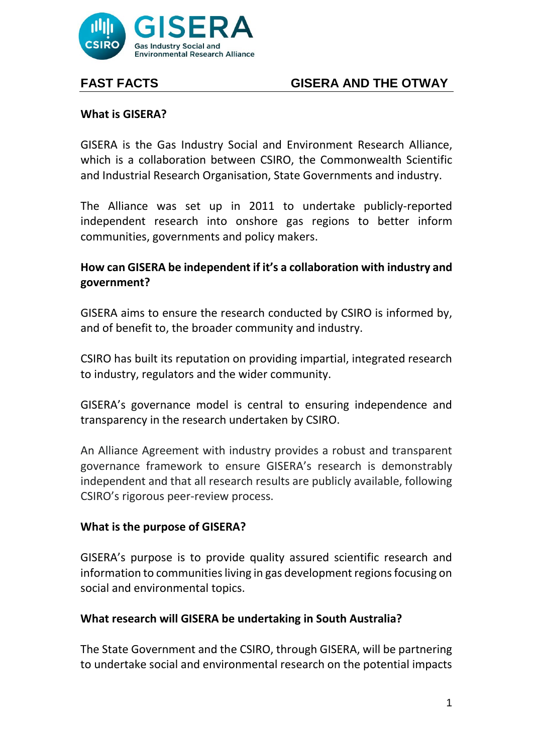

# **FAST FACTS GISERA AND THE OTWAY**

### **What is GISERA?**

GISERA is the Gas Industry Social and Environment Research Alliance, which is a collaboration between CSIRO, the Commonwealth Scientific and Industrial Research Organisation, State Governments and industry.

The Alliance was set up in 2011 to undertake publicly-reported independent research into onshore gas regions to better inform communities, governments and policy makers.

## **How can GISERA be independent if it's a collaboration with industry and government?**

GISERA aims to ensure the research conducted by CSIRO is informed by, and of benefit to, the broader community and industry.

CSIRO has built its reputation on providing impartial, integrated research to industry, regulators and the wider community.

GISERA's governance model is central to ensuring independence and transparency in the research undertaken by CSIRO.

An Alliance Agreement with industry provides a robust and transparent governance framework to ensure GISERA's research is demonstrably independent and that all research results are publicly available, following CSIRO's rigorous peer-review process.

## **What is the purpose of GISERA?**

GISERA's purpose is to provide quality assured scientific research and information to communities living in gas development regions focusing on social and environmental topics.

#### **What research will GISERA be undertaking in South Australia?**

The State Government and the CSIRO, through GISERA, will be partnering to undertake social and environmental research on the potential impacts